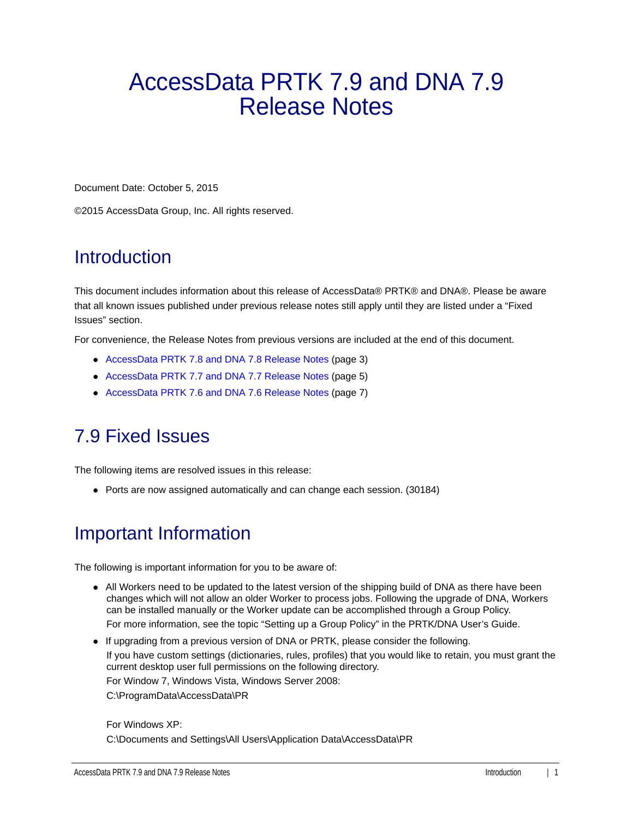# AccessData PRTK 7.9 and DNA 7.9 Release Notes

Document Date: October 5, 2015

©2015 AccessData Group, Inc. All rights reserved.

#### **Introduction**

This document includes information about this release of AccessData® PRTK® and DNA®. Please be aware that all known issues published under previous release notes still apply until they are listed under a "Fixed Issues" section.

For convenience, the Release Notes from previous versions are included at the end of this document.

- [AccessData PRTK 7.8 and DNA 7.8 Release Notes \(page 3\)](#page-2-0)
- [AccessData PRTK 7.7 and DNA 7.7 Release Notes \(page 5\)](#page-4-0)
- [AccessData PRTK 7.6 and DNA 7.6 Release Notes \(page 7\)](#page-6-0)

#### 7.9 Fixed Issues

The following items are resolved issues in this release:

Ports are now assigned automatically and can change each session. (30184)

#### Important Information

The following is important information for you to be aware of:

- All Workers need to be updated to the latest version of the shipping build of DNA as there have been changes which will not allow an older Worker to process jobs. Following the upgrade of DNA, Workers can be installed manually or the Worker update can be accomplished through a Group Policy. For more information, see the topic "Setting up a Group Policy" in the PRTK/DNA User's Guide.
- If upgrading from a previous version of DNA or PRTK, please consider the following. If you have custom settings (dictionaries, rules, profiles) that you would like to retain, you must grant the current desktop user full permissions on the following directory. For Window 7, Windows Vista, Windows Server 2008: C:\ProgramData\AccessData\PR

#### For Windows XP: C:\Documents and Settings\All Users\Application Data\AccessData\PR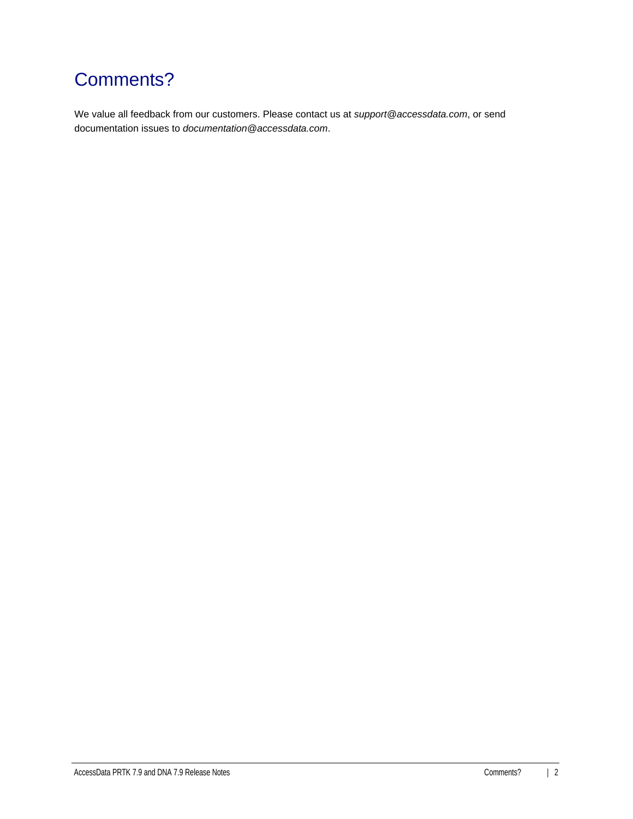## Comments?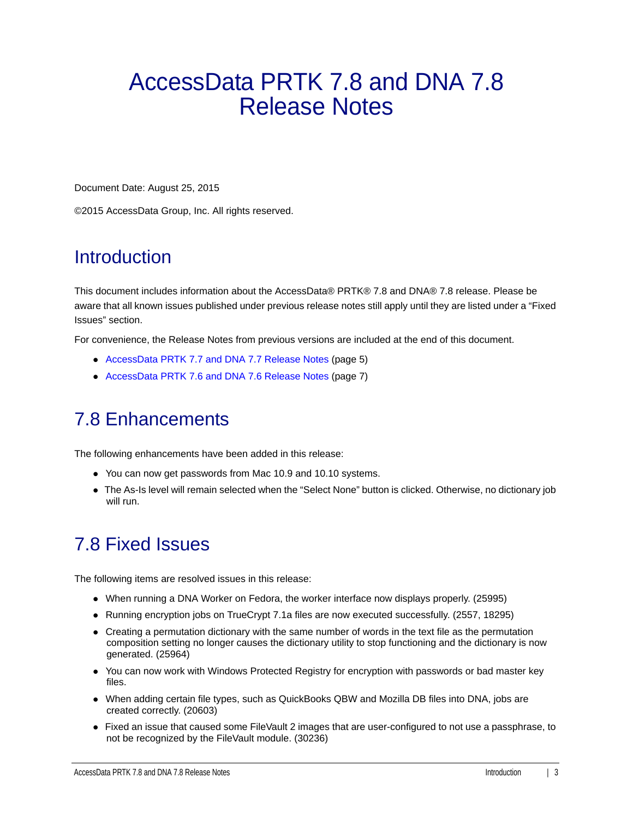# <span id="page-2-0"></span>AccessData PRTK 7.8 and DNA 7.8 Release Notes

Document Date: August 25, 2015

©2015 AccessData Group, Inc. All rights reserved.

#### **Introduction**

This document includes information about the AccessData® PRTK® 7.8 and DNA® 7.8 release. Please be aware that all known issues published under previous release notes still apply until they are listed under a "Fixed Issues" section.

For convenience, the Release Notes from previous versions are included at the end of this document.

- [AccessData PRTK 7.7 and DNA 7.7 Release Notes \(page 5\)](#page-4-0)
- [AccessData PRTK 7.6 and DNA 7.6 Release Notes \(page 7\)](#page-6-0)

#### 7.8 Enhancements

The following enhancements have been added in this release:

- You can now get passwords from Mac 10.9 and 10.10 systems.
- The As-Is level will remain selected when the "Select None" button is clicked. Otherwise, no dictionary job will run.

## 7.8 Fixed Issues

The following items are resolved issues in this release:

- When running a DNA Worker on Fedora, the worker interface now displays properly. (25995)
- Running encryption jobs on TrueCrypt 7.1a files are now executed successfully. (2557, 18295)
- Creating a permutation dictionary with the same number of words in the text file as the permutation composition setting no longer causes the dictionary utility to stop functioning and the dictionary is now generated. (25964)
- You can now work with Windows Protected Registry for encryption with passwords or bad master key files.
- When adding certain file types, such as QuickBooks QBW and Mozilla DB files into DNA, jobs are created correctly. (20603)
- Fixed an issue that caused some FileVault 2 images that are user-configured to not use a passphrase, to not be recognized by the FileVault module. (30236)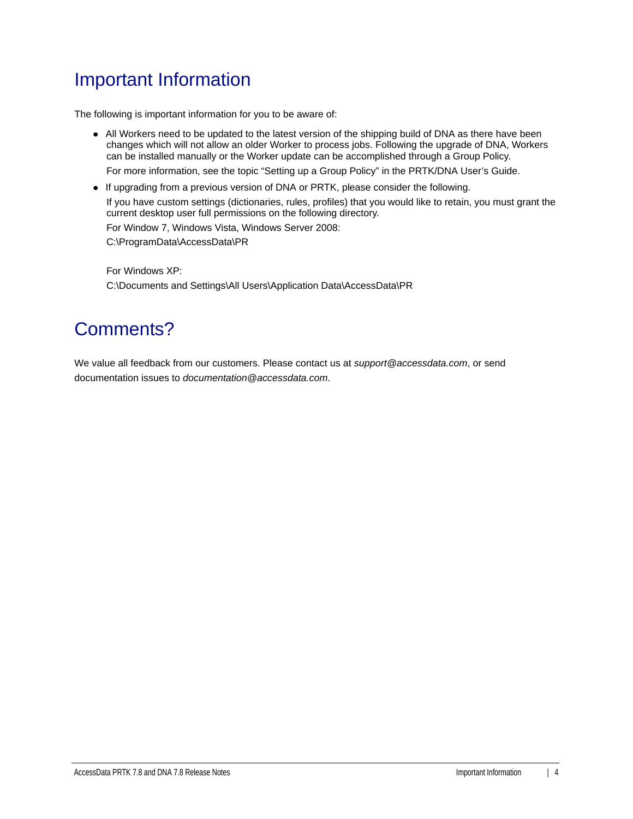### Important Information

The following is important information for you to be aware of:

All Workers need to be updated to the latest version of the shipping build of DNA as there have been changes which will not allow an older Worker to process jobs. Following the upgrade of DNA, Workers can be installed manually or the Worker update can be accomplished through a Group Policy.

For more information, see the topic "Setting up a Group Policy" in the PRTK/DNA User's Guide.

If upgrading from a previous version of DNA or PRTK, please consider the following.

If you have custom settings (dictionaries, rules, profiles) that you would like to retain, you must grant the current desktop user full permissions on the following directory.

For Window 7, Windows Vista, Windows Server 2008:

C:\ProgramData\AccessData\PR

For Windows XP: C:\Documents and Settings\All Users\Application Data\AccessData\PR

## Comments?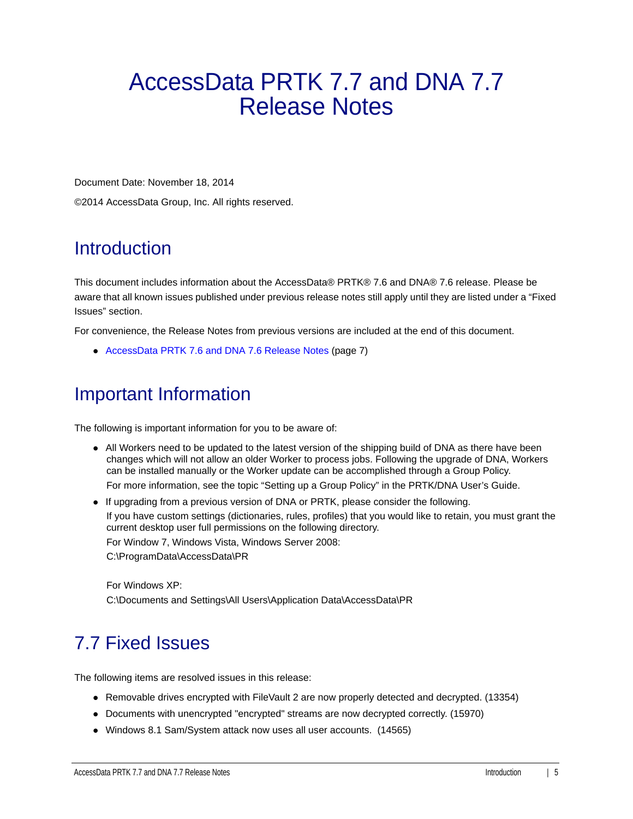# <span id="page-4-0"></span>AccessData PRTK 7.7 and DNA 7.7 Release Notes

Document Date: November 18, 2014

©2014 AccessData Group, Inc. All rights reserved.

## **Introduction**

This document includes information about the AccessData® PRTK® 7.6 and DNA® 7.6 release. Please be aware that all known issues published under previous release notes still apply until they are listed under a "Fixed Issues" section.

For convenience, the Release Notes from previous versions are included at the end of this document.

[AccessData PRTK 7.6 and DNA 7.6 Release Notes \(page 7\)](#page-6-0)

#### Important Information

The following is important information for you to be aware of:

All Workers need to be updated to the latest version of the shipping build of DNA as there have been changes which will not allow an older Worker to process jobs. Following the upgrade of DNA, Workers can be installed manually or the Worker update can be accomplished through a Group Policy.

For more information, see the topic "Setting up a Group Policy" in the PRTK/DNA User's Guide.

If upgrading from a previous version of DNA or PRTK, please consider the following.

If you have custom settings (dictionaries, rules, profiles) that you would like to retain, you must grant the current desktop user full permissions on the following directory.

For Window 7, Windows Vista, Windows Server 2008:

C:\ProgramData\AccessData\PR

For Windows XP: C:\Documents and Settings\All Users\Application Data\AccessData\PR

## 7.7 Fixed Issues

The following items are resolved issues in this release:

- Removable drives encrypted with FileVault 2 are now properly detected and decrypted. (13354)
- Documents with unencrypted "encrypted" streams are now decrypted correctly. (15970)
- Windows 8.1 Sam/System attack now uses all user accounts. (14565)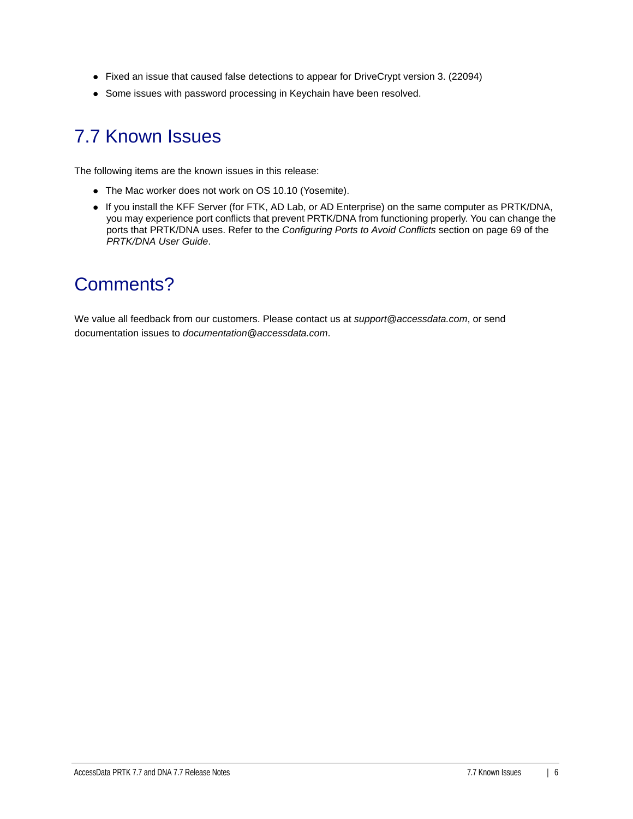- Fixed an issue that caused false detections to appear for DriveCrypt version 3. (22094)
- Some issues with password processing in Keychain have been resolved.

#### 7.7 Known Issues

The following items are the known issues in this release:

- The Mac worker does not work on OS 10.10 (Yosemite).
- If you install the KFF Server (for FTK, AD Lab, or AD Enterprise) on the same computer as PRTK/DNA, you may experience port conflicts that prevent PRTK/DNA from functioning properly. You can change the ports that PRTK/DNA uses. Refer to the *Configuring Ports to Avoid Conflicts* section on page 69 of the *PRTK/DNA User Guide*.

#### Comments?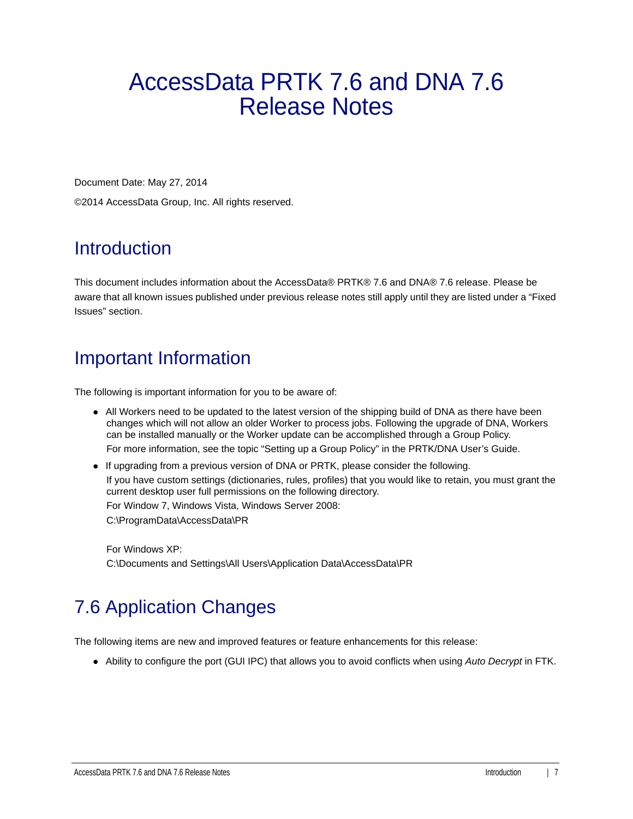# <span id="page-6-0"></span>AccessData PRTK 7.6 and DNA 7.6 Release Notes

Document Date: May 27, 2014

©2014 AccessData Group, Inc. All rights reserved.

## Introduction

This document includes information about the AccessData® PRTK® 7.6 and DNA® 7.6 release. Please be aware that all known issues published under previous release notes still apply until they are listed under a "Fixed Issues" section.

## Important Information

The following is important information for you to be aware of:

- All Workers need to be updated to the latest version of the shipping build of DNA as there have been changes which will not allow an older Worker to process jobs. Following the upgrade of DNA, Workers can be installed manually or the Worker update can be accomplished through a Group Policy. For more information, see the topic "Setting up a Group Policy" in the PRTK/DNA User's Guide.
- If upgrading from a previous version of DNA or PRTK, please consider the following. If you have custom settings (dictionaries, rules, profiles) that you would like to retain, you must grant the current desktop user full permissions on the following directory. For Window 7, Windows Vista, Windows Server 2008: C:\ProgramData\AccessData\PR

For Windows XP: C:\Documents and Settings\All Users\Application Data\AccessData\PR

## 7.6 Application Changes

The following items are new and improved features or feature enhancements for this release:

Ability to configure the port (GUI IPC) that allows you to avoid conflicts when using *Auto Decrypt* in FTK.